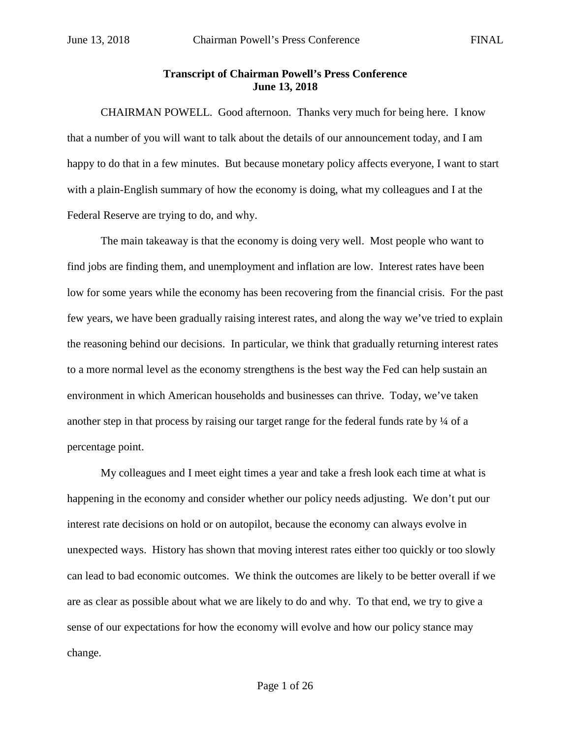## **Transcript of Chairman Powell's Press Conference June 13, 2018**

CHAIRMAN POWELL. Good afternoon. Thanks very much for being here. I know that a number of you will want to talk about the details of our announcement today, and I am happy to do that in a few minutes. But because monetary policy affects everyone, I want to start with a plain-English summary of how the economy is doing, what my colleagues and I at the Federal Reserve are trying to do, and why.

The main takeaway is that the economy is doing very well. Most people who want to find jobs are finding them, and unemployment and inflation are low. Interest rates have been low for some years while the economy has been recovering from the financial crisis. For the past few years, we have been gradually raising interest rates, and along the way we've tried to explain the reasoning behind our decisions. In particular, we think that gradually returning interest rates to a more normal level as the economy strengthens is the best way the Fed can help sustain an environment in which American households and businesses can thrive. Today, we've taken another step in that process by raising our target range for the federal funds rate by  $\frac{1}{4}$  of a percentage point.

My colleagues and I meet eight times a year and take a fresh look each time at what is happening in the economy and consider whether our policy needs adjusting. We don't put our interest rate decisions on hold or on autopilot, because the economy can always evolve in unexpected ways. History has shown that moving interest rates either too quickly or too slowly can lead to bad economic outcomes. We think the outcomes are likely to be better overall if we are as clear as possible about what we are likely to do and why. To that end, we try to give a sense of our expectations for how the economy will evolve and how our policy stance may change.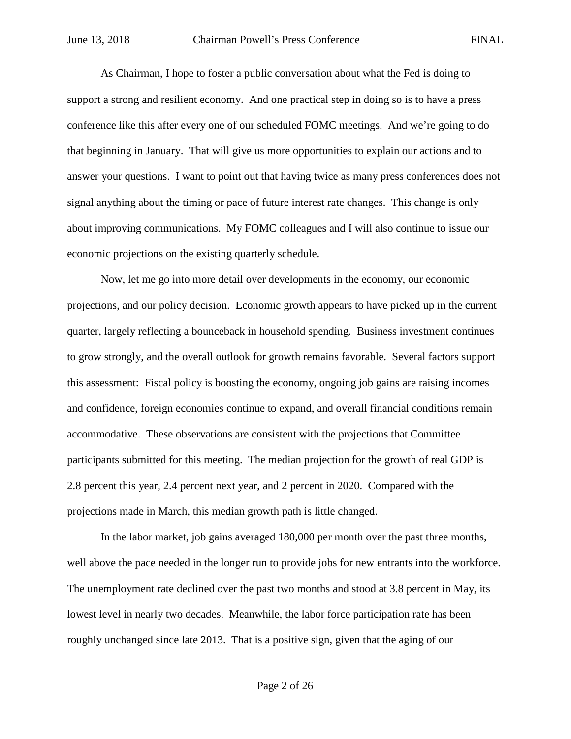As Chairman, I hope to foster a public conversation about what the Fed is doing to support a strong and resilient economy. And one practical step in doing so is to have a press conference like this after every one of our scheduled FOMC meetings. And we're going to do that beginning in January. That will give us more opportunities to explain our actions and to answer your questions. I want to point out that having twice as many press conferences does not signal anything about the timing or pace of future interest rate changes. This change is only about improving communications. My FOMC colleagues and I will also continue to issue our economic projections on the existing quarterly schedule.

Now, let me go into more detail over developments in the economy, our economic projections, and our policy decision. Economic growth appears to have picked up in the current quarter, largely reflecting a bounceback in household spending. Business investment continues to grow strongly, and the overall outlook for growth remains favorable. Several factors support this assessment: Fiscal policy is boosting the economy, ongoing job gains are raising incomes and confidence, foreign economies continue to expand, and overall financial conditions remain accommodative. These observations are consistent with the projections that Committee participants submitted for this meeting. The median projection for the growth of real GDP is 2.8 percent this year, 2.4 percent next year, and 2 percent in 2020. Compared with the projections made in March, this median growth path is little changed.

In the labor market, job gains averaged 180,000 per month over the past three months, well above the pace needed in the longer run to provide jobs for new entrants into the workforce. The unemployment rate declined over the past two months and stood at 3.8 percent in May, its lowest level in nearly two decades. Meanwhile, the labor force participation rate has been roughly unchanged since late 2013. That is a positive sign, given that the aging of our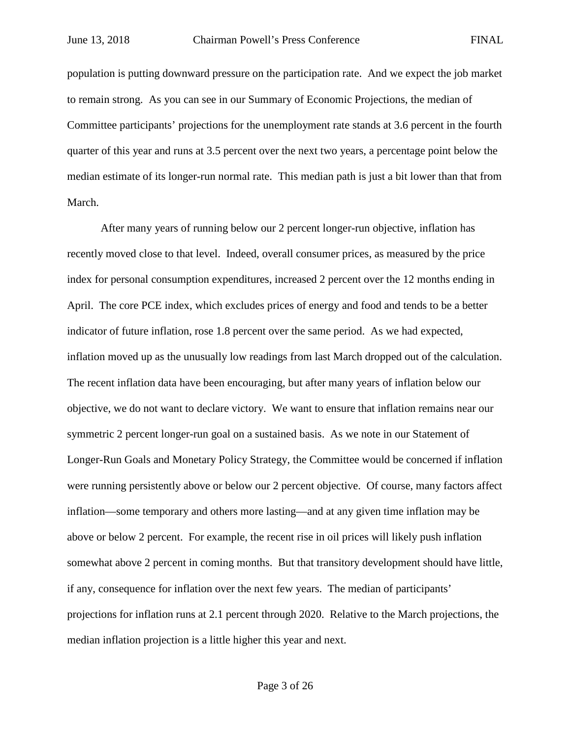population is putting downward pressure on the participation rate. And we expect the job market to remain strong. As you can see in our Summary of Economic Projections, the median of Committee participants' projections for the unemployment rate stands at 3.6 percent in the fourth quarter of this year and runs at 3.5 percent over the next two years, a percentage point below the median estimate of its longer-run normal rate. This median path is just a bit lower than that from March.

After many years of running below our 2 percent longer-run objective, inflation has recently moved close to that level. Indeed, overall consumer prices, as measured by the price index for personal consumption expenditures, increased 2 percent over the 12 months ending in April. The core PCE index, which excludes prices of energy and food and tends to be a better indicator of future inflation, rose 1.8 percent over the same period. As we had expected, inflation moved up as the unusually low readings from last March dropped out of the calculation. The recent inflation data have been encouraging, but after many years of inflation below our objective, we do not want to declare victory. We want to ensure that inflation remains near our symmetric 2 percent longer-run goal on a sustained basis. As we note in our Statement of Longer-Run Goals and Monetary Policy Strategy, the Committee would be concerned if inflation were running persistently above or below our 2 percent objective. Of course, many factors affect inflation—some temporary and others more lasting—and at any given time inflation may be above or below 2 percent. For example, the recent rise in oil prices will likely push inflation somewhat above 2 percent in coming months. But that transitory development should have little, if any, consequence for inflation over the next few years. The median of participants' projections for inflation runs at 2.1 percent through 2020. Relative to the March projections, the median inflation projection is a little higher this year and next.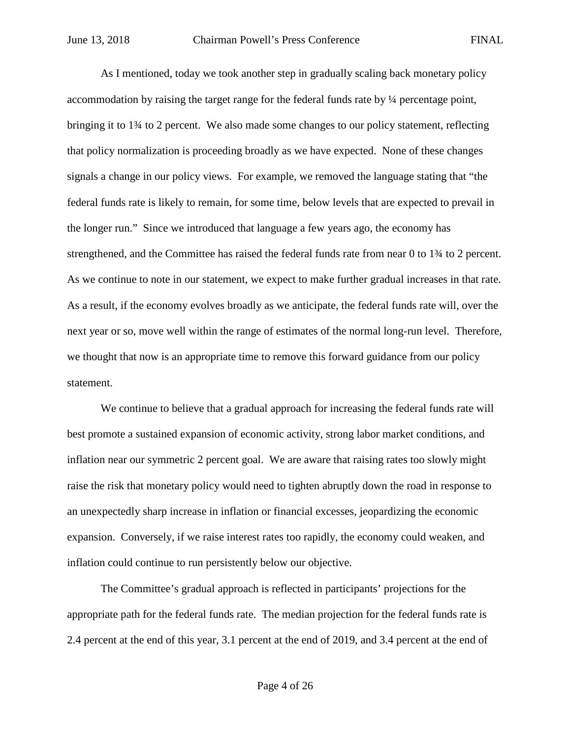As I mentioned, today we took another step in gradually scaling back monetary policy accommodation by raising the target range for the federal funds rate by ¼ percentage point, bringing it to 1¾ to 2 percent. We also made some changes to our policy statement, reflecting that policy normalization is proceeding broadly as we have expected. None of these changes signals a change in our policy views. For example, we removed the language stating that "the federal funds rate is likely to remain, for some time, below levels that are expected to prevail in the longer run." Since we introduced that language a few years ago, the economy has strengthened, and the Committee has raised the federal funds rate from near 0 to 1¾ to 2 percent. As we continue to note in our statement, we expect to make further gradual increases in that rate. As a result, if the economy evolves broadly as we anticipate, the federal funds rate will, over the next year or so, move well within the range of estimates of the normal long-run level. Therefore, we thought that now is an appropriate time to remove this forward guidance from our policy statement.

We continue to believe that a gradual approach for increasing the federal funds rate will best promote a sustained expansion of economic activity, strong labor market conditions, and inflation near our symmetric 2 percent goal. We are aware that raising rates too slowly might raise the risk that monetary policy would need to tighten abruptly down the road in response to an unexpectedly sharp increase in inflation or financial excesses, jeopardizing the economic expansion. Conversely, if we raise interest rates too rapidly, the economy could weaken, and inflation could continue to run persistently below our objective.

The Committee's gradual approach is reflected in participants' projections for the appropriate path for the federal funds rate. The median projection for the federal funds rate is 2.4 percent at the end of this year, 3.1 percent at the end of 2019, and 3.4 percent at the end of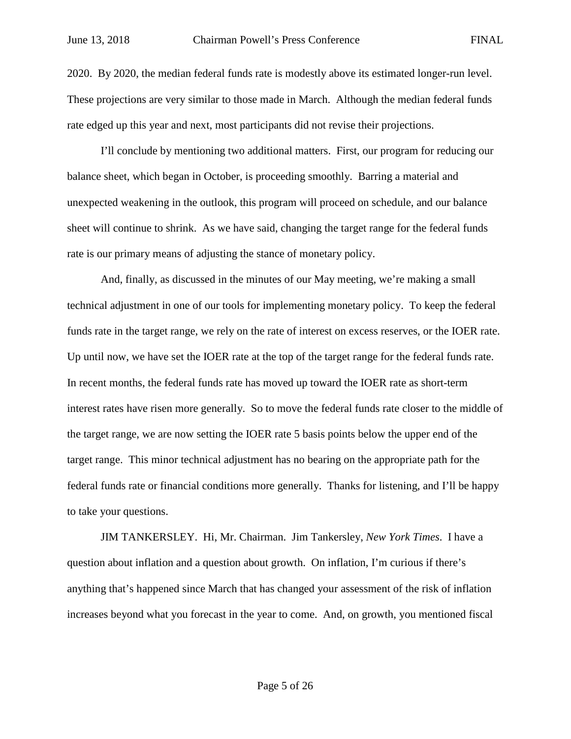2020. By 2020, the median federal funds rate is modestly above its estimated longer-run level. These projections are very similar to those made in March. Although the median federal funds rate edged up this year and next, most participants did not revise their projections.

I'll conclude by mentioning two additional matters. First, our program for reducing our balance sheet, which began in October, is proceeding smoothly. Barring a material and unexpected weakening in the outlook, this program will proceed on schedule, and our balance sheet will continue to shrink. As we have said, changing the target range for the federal funds rate is our primary means of adjusting the stance of monetary policy.

And, finally, as discussed in the minutes of our May meeting, we're making a small technical adjustment in one of our tools for implementing monetary policy. To keep the federal funds rate in the target range, we rely on the rate of interest on excess reserves, or the IOER rate. Up until now, we have set the IOER rate at the top of the target range for the federal funds rate. In recent months, the federal funds rate has moved up toward the IOER rate as short-term interest rates have risen more generally. So to move the federal funds rate closer to the middle of the target range, we are now setting the IOER rate 5 basis points below the upper end of the target range. This minor technical adjustment has no bearing on the appropriate path for the federal funds rate or financial conditions more generally. Thanks for listening, and I'll be happy to take your questions.

JIM TANKERSLEY. Hi, Mr. Chairman. Jim Tankersley, *New York Times*. I have a question about inflation and a question about growth. On inflation, I'm curious if there's anything that's happened since March that has changed your assessment of the risk of inflation increases beyond what you forecast in the year to come. And, on growth, you mentioned fiscal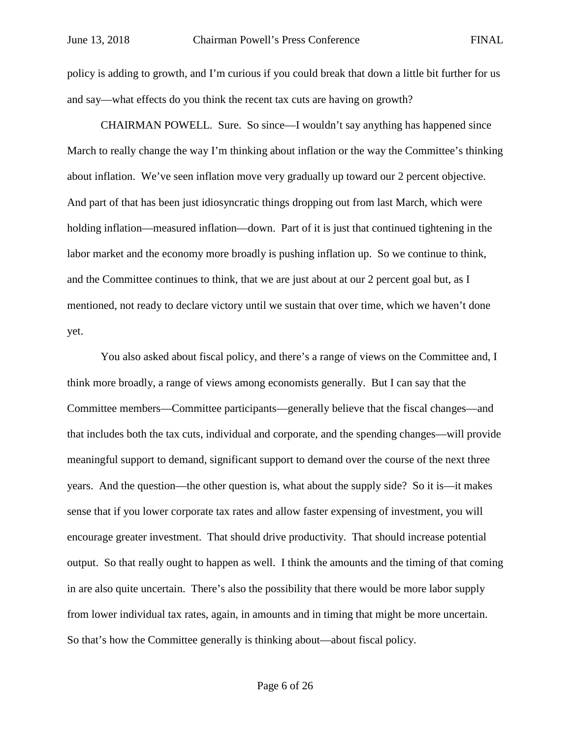policy is adding to growth, and I'm curious if you could break that down a little bit further for us and say—what effects do you think the recent tax cuts are having on growth?

CHAIRMAN POWELL. Sure. So since—I wouldn't say anything has happened since March to really change the way I'm thinking about inflation or the way the Committee's thinking about inflation. We've seen inflation move very gradually up toward our 2 percent objective. And part of that has been just idiosyncratic things dropping out from last March, which were holding inflation—measured inflation—down. Part of it is just that continued tightening in the labor market and the economy more broadly is pushing inflation up. So we continue to think, and the Committee continues to think, that we are just about at our 2 percent goal but, as I mentioned, not ready to declare victory until we sustain that over time, which we haven't done yet.

You also asked about fiscal policy, and there's a range of views on the Committee and, I think more broadly, a range of views among economists generally. But I can say that the Committee members—Committee participants—generally believe that the fiscal changes—and that includes both the tax cuts, individual and corporate, and the spending changes—will provide meaningful support to demand, significant support to demand over the course of the next three years. And the question—the other question is, what about the supply side? So it is—it makes sense that if you lower corporate tax rates and allow faster expensing of investment, you will encourage greater investment. That should drive productivity. That should increase potential output. So that really ought to happen as well. I think the amounts and the timing of that coming in are also quite uncertain. There's also the possibility that there would be more labor supply from lower individual tax rates, again, in amounts and in timing that might be more uncertain. So that's how the Committee generally is thinking about—about fiscal policy.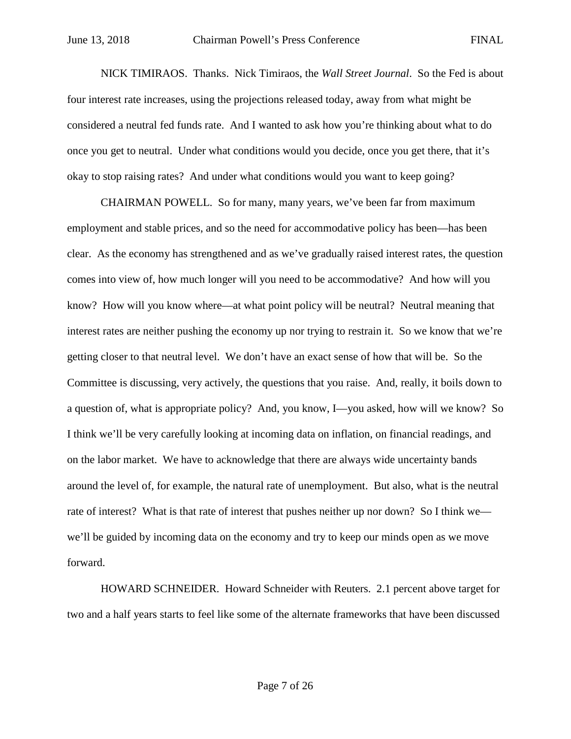NICK TIMIRAOS. Thanks. Nick Timiraos, the *Wall Street Journal*. So the Fed is about four interest rate increases, using the projections released today, away from what might be considered a neutral fed funds rate. And I wanted to ask how you're thinking about what to do once you get to neutral. Under what conditions would you decide, once you get there, that it's okay to stop raising rates? And under what conditions would you want to keep going?

CHAIRMAN POWELL. So for many, many years, we've been far from maximum employment and stable prices, and so the need for accommodative policy has been—has been clear. As the economy has strengthened and as we've gradually raised interest rates, the question comes into view of, how much longer will you need to be accommodative? And how will you know? How will you know where—at what point policy will be neutral? Neutral meaning that interest rates are neither pushing the economy up nor trying to restrain it. So we know that we're getting closer to that neutral level. We don't have an exact sense of how that will be. So the Committee is discussing, very actively, the questions that you raise. And, really, it boils down to a question of, what is appropriate policy? And, you know, I—you asked, how will we know? So I think we'll be very carefully looking at incoming data on inflation, on financial readings, and on the labor market. We have to acknowledge that there are always wide uncertainty bands around the level of, for example, the natural rate of unemployment. But also, what is the neutral rate of interest? What is that rate of interest that pushes neither up nor down? So I think we we'll be guided by incoming data on the economy and try to keep our minds open as we move forward.

HOWARD SCHNEIDER. Howard Schneider with Reuters. 2.1 percent above target for two and a half years starts to feel like some of the alternate frameworks that have been discussed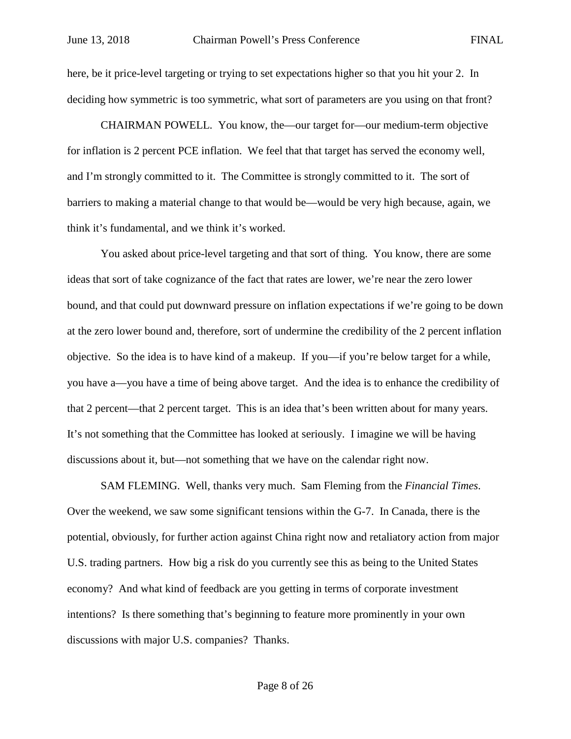here, be it price-level targeting or trying to set expectations higher so that you hit your 2. In deciding how symmetric is too symmetric, what sort of parameters are you using on that front?

CHAIRMAN POWELL. You know, the—our target for—our medium-term objective for inflation is 2 percent PCE inflation. We feel that that target has served the economy well, and I'm strongly committed to it. The Committee is strongly committed to it. The sort of barriers to making a material change to that would be—would be very high because, again, we think it's fundamental, and we think it's worked.

You asked about price-level targeting and that sort of thing. You know, there are some ideas that sort of take cognizance of the fact that rates are lower, we're near the zero lower bound, and that could put downward pressure on inflation expectations if we're going to be down at the zero lower bound and, therefore, sort of undermine the credibility of the 2 percent inflation objective. So the idea is to have kind of a makeup. If you—if you're below target for a while, you have a—you have a time of being above target. And the idea is to enhance the credibility of that 2 percent—that 2 percent target. This is an idea that's been written about for many years. It's not something that the Committee has looked at seriously. I imagine we will be having discussions about it, but—not something that we have on the calendar right now.

SAM FLEMING. Well, thanks very much. Sam Fleming from the *Financial Times*. Over the weekend, we saw some significant tensions within the G-7. In Canada, there is the potential, obviously, for further action against China right now and retaliatory action from major U.S. trading partners. How big a risk do you currently see this as being to the United States economy? And what kind of feedback are you getting in terms of corporate investment intentions? Is there something that's beginning to feature more prominently in your own discussions with major U.S. companies? Thanks.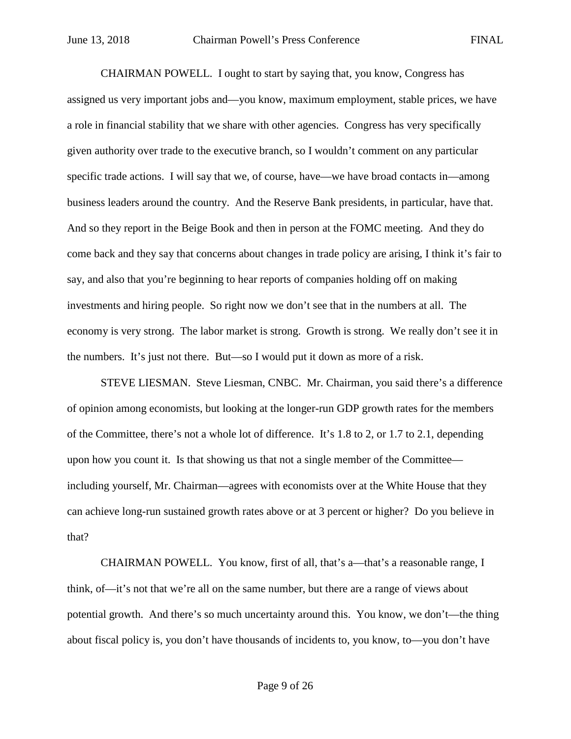CHAIRMAN POWELL. I ought to start by saying that, you know, Congress has assigned us very important jobs and—you know, maximum employment, stable prices, we have a role in financial stability that we share with other agencies. Congress has very specifically given authority over trade to the executive branch, so I wouldn't comment on any particular specific trade actions. I will say that we, of course, have—we have broad contacts in—among business leaders around the country. And the Reserve Bank presidents, in particular, have that. And so they report in the Beige Book and then in person at the FOMC meeting. And they do come back and they say that concerns about changes in trade policy are arising, I think it's fair to say, and also that you're beginning to hear reports of companies holding off on making investments and hiring people. So right now we don't see that in the numbers at all. The economy is very strong. The labor market is strong. Growth is strong. We really don't see it in the numbers. It's just not there. But—so I would put it down as more of a risk.

STEVE LIESMAN. Steve Liesman, CNBC. Mr. Chairman, you said there's a difference of opinion among economists, but looking at the longer-run GDP growth rates for the members of the Committee, there's not a whole lot of difference. It's 1.8 to 2, or 1.7 to 2.1, depending upon how you count it. Is that showing us that not a single member of the Committee including yourself, Mr. Chairman—agrees with economists over at the White House that they can achieve long-run sustained growth rates above or at 3 percent or higher? Do you believe in that?

CHAIRMAN POWELL. You know, first of all, that's a—that's a reasonable range, I think, of—it's not that we're all on the same number, but there are a range of views about potential growth. And there's so much uncertainty around this. You know, we don't—the thing about fiscal policy is, you don't have thousands of incidents to, you know, to—you don't have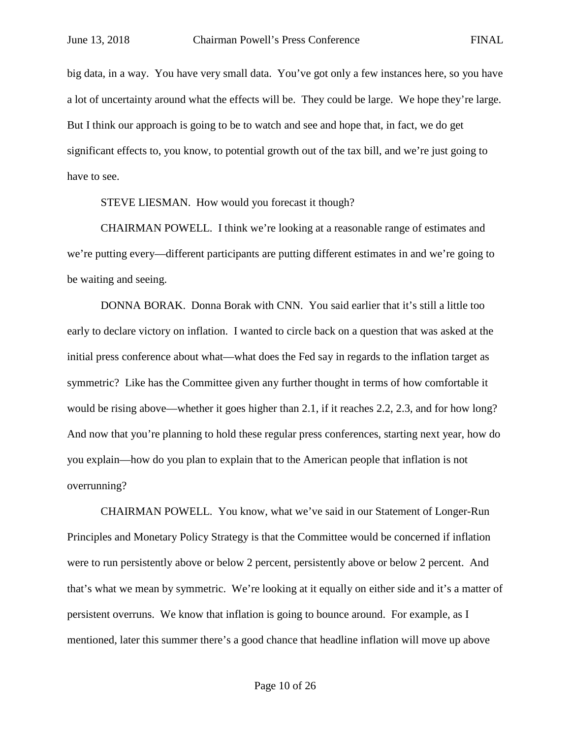big data, in a way. You have very small data. You've got only a few instances here, so you have a lot of uncertainty around what the effects will be. They could be large. We hope they're large. But I think our approach is going to be to watch and see and hope that, in fact, we do get significant effects to, you know, to potential growth out of the tax bill, and we're just going to have to see.

STEVE LIESMAN. How would you forecast it though?

CHAIRMAN POWELL. I think we're looking at a reasonable range of estimates and we're putting every—different participants are putting different estimates in and we're going to be waiting and seeing.

DONNA BORAK. Donna Borak with CNN. You said earlier that it's still a little too early to declare victory on inflation. I wanted to circle back on a question that was asked at the initial press conference about what—what does the Fed say in regards to the inflation target as symmetric? Like has the Committee given any further thought in terms of how comfortable it would be rising above—whether it goes higher than 2.1, if it reaches 2.2, 2.3, and for how long? And now that you're planning to hold these regular press conferences, starting next year, how do you explain—how do you plan to explain that to the American people that inflation is not overrunning?

CHAIRMAN POWELL. You know, what we've said in our Statement of Longer-Run Principles and Monetary Policy Strategy is that the Committee would be concerned if inflation were to run persistently above or below 2 percent, persistently above or below 2 percent. And that's what we mean by symmetric. We're looking at it equally on either side and it's a matter of persistent overruns. We know that inflation is going to bounce around. For example, as I mentioned, later this summer there's a good chance that headline inflation will move up above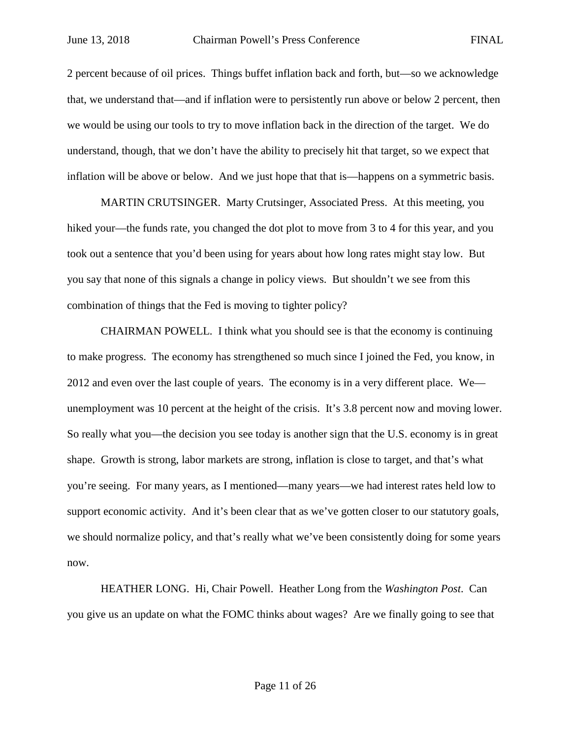2 percent because of oil prices. Things buffet inflation back and forth, but—so we acknowledge that, we understand that—and if inflation were to persistently run above or below 2 percent, then we would be using our tools to try to move inflation back in the direction of the target. We do understand, though, that we don't have the ability to precisely hit that target, so we expect that inflation will be above or below. And we just hope that that is—happens on a symmetric basis.

MARTIN CRUTSINGER. Marty Crutsinger, Associated Press. At this meeting, you hiked your—the funds rate, you changed the dot plot to move from 3 to 4 for this year, and you took out a sentence that you'd been using for years about how long rates might stay low. But you say that none of this signals a change in policy views. But shouldn't we see from this combination of things that the Fed is moving to tighter policy?

CHAIRMAN POWELL. I think what you should see is that the economy is continuing to make progress. The economy has strengthened so much since I joined the Fed, you know, in 2012 and even over the last couple of years. The economy is in a very different place. We unemployment was 10 percent at the height of the crisis. It's 3.8 percent now and moving lower. So really what you—the decision you see today is another sign that the U.S. economy is in great shape. Growth is strong, labor markets are strong, inflation is close to target, and that's what you're seeing. For many years, as I mentioned—many years—we had interest rates held low to support economic activity. And it's been clear that as we've gotten closer to our statutory goals, we should normalize policy, and that's really what we've been consistently doing for some years now.

HEATHER LONG. Hi, Chair Powell. Heather Long from the *Washington Post*. Can you give us an update on what the FOMC thinks about wages? Are we finally going to see that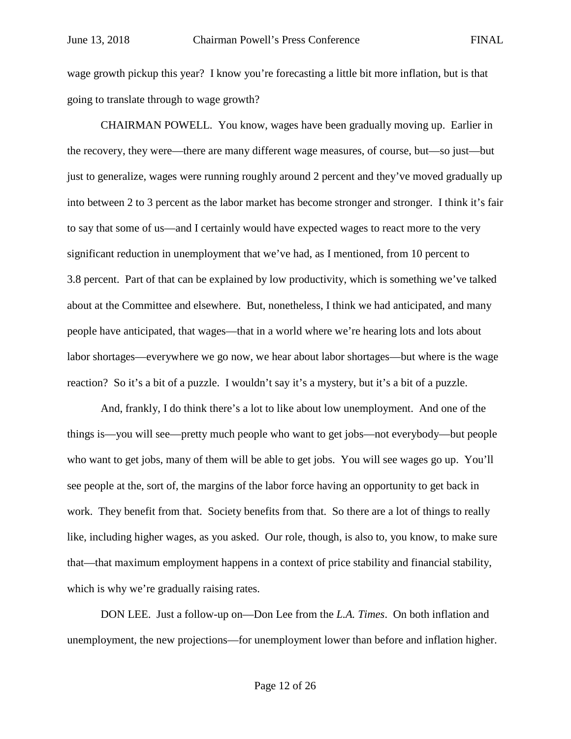wage growth pickup this year? I know you're forecasting a little bit more inflation, but is that going to translate through to wage growth?

CHAIRMAN POWELL. You know, wages have been gradually moving up. Earlier in the recovery, they were—there are many different wage measures, of course, but—so just—but just to generalize, wages were running roughly around 2 percent and they've moved gradually up into between 2 to 3 percent as the labor market has become stronger and stronger. I think it's fair to say that some of us—and I certainly would have expected wages to react more to the very significant reduction in unemployment that we've had, as I mentioned, from 10 percent to 3.8 percent. Part of that can be explained by low productivity, which is something we've talked about at the Committee and elsewhere. But, nonetheless, I think we had anticipated, and many people have anticipated, that wages—that in a world where we're hearing lots and lots about labor shortages—everywhere we go now, we hear about labor shortages—but where is the wage reaction? So it's a bit of a puzzle. I wouldn't say it's a mystery, but it's a bit of a puzzle.

And, frankly, I do think there's a lot to like about low unemployment. And one of the things is—you will see—pretty much people who want to get jobs—not everybody—but people who want to get jobs, many of them will be able to get jobs. You will see wages go up. You'll see people at the, sort of, the margins of the labor force having an opportunity to get back in work. They benefit from that. Society benefits from that. So there are a lot of things to really like, including higher wages, as you asked. Our role, though, is also to, you know, to make sure that—that maximum employment happens in a context of price stability and financial stability, which is why we're gradually raising rates.

DON LEE. Just a follow-up on—Don Lee from the *L.A. Times*. On both inflation and unemployment, the new projections—for unemployment lower than before and inflation higher.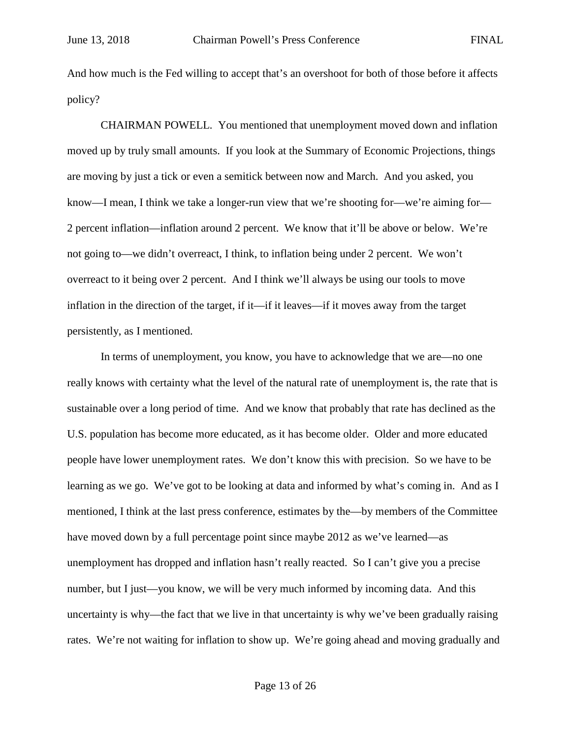And how much is the Fed willing to accept that's an overshoot for both of those before it affects policy?

CHAIRMAN POWELL. You mentioned that unemployment moved down and inflation moved up by truly small amounts. If you look at the Summary of Economic Projections, things are moving by just a tick or even a semitick between now and March. And you asked, you know—I mean, I think we take a longer-run view that we're shooting for—we're aiming for— 2 percent inflation—inflation around 2 percent. We know that it'll be above or below. We're not going to—we didn't overreact, I think, to inflation being under 2 percent. We won't overreact to it being over 2 percent. And I think we'll always be using our tools to move inflation in the direction of the target, if it—if it leaves—if it moves away from the target persistently, as I mentioned.

In terms of unemployment, you know, you have to acknowledge that we are—no one really knows with certainty what the level of the natural rate of unemployment is, the rate that is sustainable over a long period of time. And we know that probably that rate has declined as the U.S. population has become more educated, as it has become older. Older and more educated people have lower unemployment rates. We don't know this with precision. So we have to be learning as we go. We've got to be looking at data and informed by what's coming in. And as I mentioned, I think at the last press conference, estimates by the—by members of the Committee have moved down by a full percentage point since maybe 2012 as we've learned—as unemployment has dropped and inflation hasn't really reacted. So I can't give you a precise number, but I just—you know, we will be very much informed by incoming data. And this uncertainty is why—the fact that we live in that uncertainty is why we've been gradually raising rates. We're not waiting for inflation to show up. We're going ahead and moving gradually and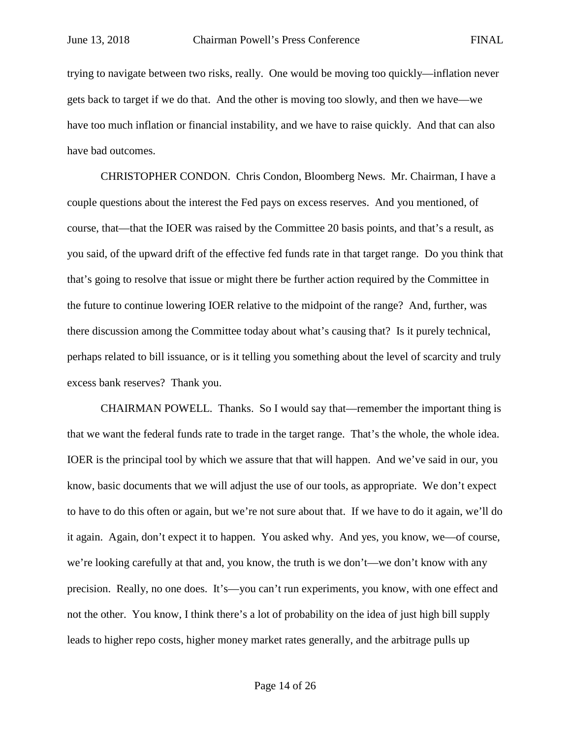trying to navigate between two risks, really. One would be moving too quickly—inflation never gets back to target if we do that. And the other is moving too slowly, and then we have—we have too much inflation or financial instability, and we have to raise quickly. And that can also have bad outcomes.

CHRISTOPHER CONDON. Chris Condon, Bloomberg News. Mr. Chairman, I have a couple questions about the interest the Fed pays on excess reserves. And you mentioned, of course, that—that the IOER was raised by the Committee 20 basis points, and that's a result, as you said, of the upward drift of the effective fed funds rate in that target range. Do you think that that's going to resolve that issue or might there be further action required by the Committee in the future to continue lowering IOER relative to the midpoint of the range? And, further, was there discussion among the Committee today about what's causing that? Is it purely technical, perhaps related to bill issuance, or is it telling you something about the level of scarcity and truly excess bank reserves? Thank you.

CHAIRMAN POWELL. Thanks. So I would say that—remember the important thing is that we want the federal funds rate to trade in the target range. That's the whole, the whole idea. IOER is the principal tool by which we assure that that will happen. And we've said in our, you know, basic documents that we will adjust the use of our tools, as appropriate. We don't expect to have to do this often or again, but we're not sure about that. If we have to do it again, we'll do it again. Again, don't expect it to happen. You asked why. And yes, you know, we—of course, we're looking carefully at that and, you know, the truth is we don't—we don't know with any precision. Really, no one does. It's—you can't run experiments, you know, with one effect and not the other. You know, I think there's a lot of probability on the idea of just high bill supply leads to higher repo costs, higher money market rates generally, and the arbitrage pulls up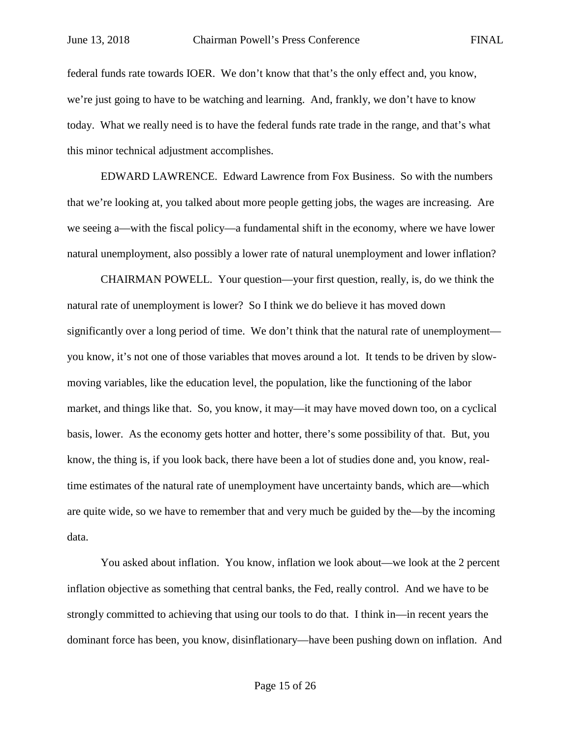federal funds rate towards IOER. We don't know that that's the only effect and, you know, we're just going to have to be watching and learning. And, frankly, we don't have to know today. What we really need is to have the federal funds rate trade in the range, and that's what this minor technical adjustment accomplishes.

EDWARD LAWRENCE. Edward Lawrence from Fox Business. So with the numbers that we're looking at, you talked about more people getting jobs, the wages are increasing. Are we seeing a—with the fiscal policy—a fundamental shift in the economy, where we have lower natural unemployment, also possibly a lower rate of natural unemployment and lower inflation?

CHAIRMAN POWELL. Your question—your first question, really, is, do we think the natural rate of unemployment is lower? So I think we do believe it has moved down significantly over a long period of time. We don't think that the natural rate of unemployment you know, it's not one of those variables that moves around a lot. It tends to be driven by slowmoving variables, like the education level, the population, like the functioning of the labor market, and things like that. So, you know, it may—it may have moved down too, on a cyclical basis, lower. As the economy gets hotter and hotter, there's some possibility of that. But, you know, the thing is, if you look back, there have been a lot of studies done and, you know, realtime estimates of the natural rate of unemployment have uncertainty bands, which are—which are quite wide, so we have to remember that and very much be guided by the—by the incoming data.

You asked about inflation. You know, inflation we look about—we look at the 2 percent inflation objective as something that central banks, the Fed, really control. And we have to be strongly committed to achieving that using our tools to do that. I think in—in recent years the dominant force has been, you know, disinflationary—have been pushing down on inflation. And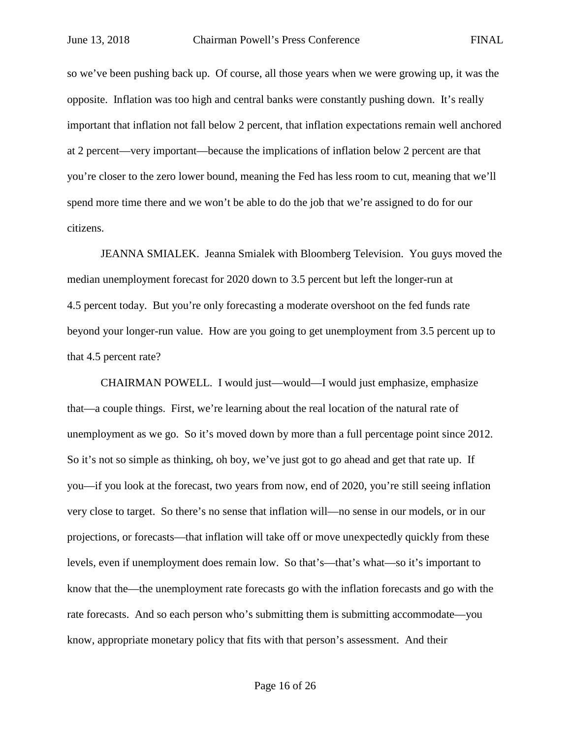so we've been pushing back up. Of course, all those years when we were growing up, it was the opposite. Inflation was too high and central banks were constantly pushing down. It's really important that inflation not fall below 2 percent, that inflation expectations remain well anchored at 2 percent—very important—because the implications of inflation below 2 percent are that you're closer to the zero lower bound, meaning the Fed has less room to cut, meaning that we'll spend more time there and we won't be able to do the job that we're assigned to do for our citizens.

JEANNA SMIALEK. Jeanna Smialek with Bloomberg Television. You guys moved the median unemployment forecast for 2020 down to 3.5 percent but left the longer-run at 4.5 percent today. But you're only forecasting a moderate overshoot on the fed funds rate beyond your longer-run value. How are you going to get unemployment from 3.5 percent up to that 4.5 percent rate?

CHAIRMAN POWELL. I would just—would—I would just emphasize, emphasize that—a couple things. First, we're learning about the real location of the natural rate of unemployment as we go. So it's moved down by more than a full percentage point since 2012. So it's not so simple as thinking, oh boy, we've just got to go ahead and get that rate up. If you—if you look at the forecast, two years from now, end of 2020, you're still seeing inflation very close to target. So there's no sense that inflation will—no sense in our models, or in our projections, or forecasts—that inflation will take off or move unexpectedly quickly from these levels, even if unemployment does remain low. So that's—that's what—so it's important to know that the—the unemployment rate forecasts go with the inflation forecasts and go with the rate forecasts. And so each person who's submitting them is submitting accommodate—you know, appropriate monetary policy that fits with that person's assessment. And their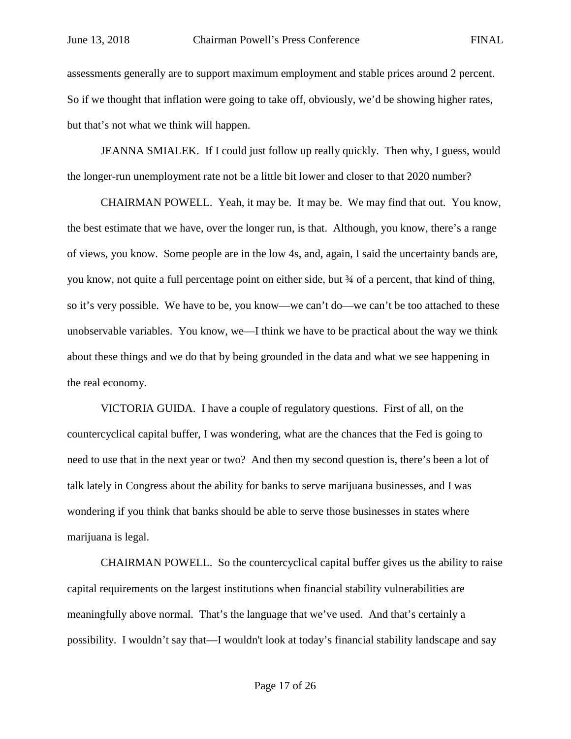assessments generally are to support maximum employment and stable prices around 2 percent. So if we thought that inflation were going to take off, obviously, we'd be showing higher rates, but that's not what we think will happen.

JEANNA SMIALEK. If I could just follow up really quickly. Then why, I guess, would the longer-run unemployment rate not be a little bit lower and closer to that 2020 number?

CHAIRMAN POWELL. Yeah, it may be. It may be. We may find that out. You know, the best estimate that we have, over the longer run, is that. Although, you know, there's a range of views, you know. Some people are in the low 4s, and, again, I said the uncertainty bands are, you know, not quite a full percentage point on either side, but ¾ of a percent, that kind of thing, so it's very possible. We have to be, you know—we can't do—we can't be too attached to these unobservable variables. You know, we—I think we have to be practical about the way we think about these things and we do that by being grounded in the data and what we see happening in the real economy.

VICTORIA GUIDA. I have a couple of regulatory questions. First of all, on the countercyclical capital buffer, I was wondering, what are the chances that the Fed is going to need to use that in the next year or two? And then my second question is, there's been a lot of talk lately in Congress about the ability for banks to serve marijuana businesses, and I was wondering if you think that banks should be able to serve those businesses in states where marijuana is legal.

CHAIRMAN POWELL. So the countercyclical capital buffer gives us the ability to raise capital requirements on the largest institutions when financial stability vulnerabilities are meaningfully above normal. That's the language that we've used. And that's certainly a possibility. I wouldn't say that—I wouldn't look at today's financial stability landscape and say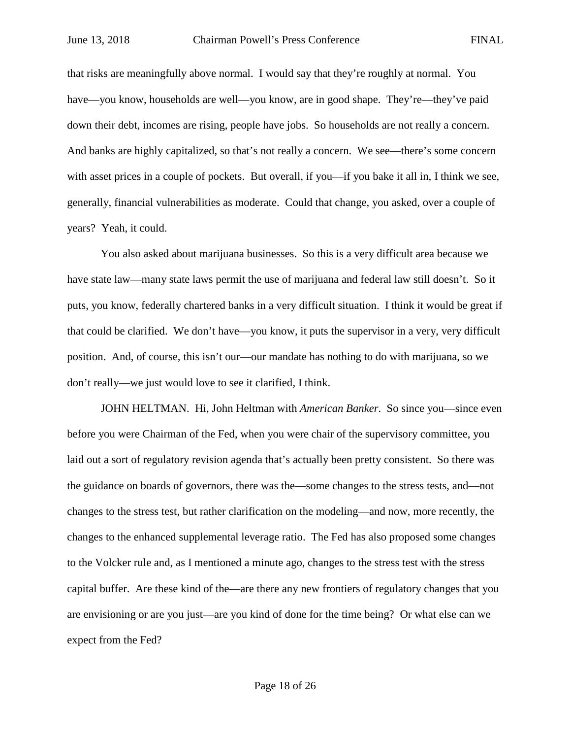that risks are meaningfully above normal. I would say that they're roughly at normal. You have—you know, households are well—you know, are in good shape. They're—they've paid down their debt, incomes are rising, people have jobs. So households are not really a concern. And banks are highly capitalized, so that's not really a concern. We see—there's some concern with asset prices in a couple of pockets. But overall, if you—if you bake it all in, I think we see, generally, financial vulnerabilities as moderate. Could that change, you asked, over a couple of years? Yeah, it could.

You also asked about marijuana businesses. So this is a very difficult area because we have state law—many state laws permit the use of marijuana and federal law still doesn't. So it puts, you know, federally chartered banks in a very difficult situation. I think it would be great if that could be clarified. We don't have—you know, it puts the supervisor in a very, very difficult position. And, of course, this isn't our—our mandate has nothing to do with marijuana, so we don't really—we just would love to see it clarified, I think.

JOHN HELTMAN. Hi, John Heltman with *American Banker*. So since you—since even before you were Chairman of the Fed, when you were chair of the supervisory committee, you laid out a sort of regulatory revision agenda that's actually been pretty consistent. So there was the guidance on boards of governors, there was the—some changes to the stress tests, and—not changes to the stress test, but rather clarification on the modeling—and now, more recently, the changes to the enhanced supplemental leverage ratio. The Fed has also proposed some changes to the Volcker rule and, as I mentioned a minute ago, changes to the stress test with the stress capital buffer. Are these kind of the—are there any new frontiers of regulatory changes that you are envisioning or are you just—are you kind of done for the time being? Or what else can we expect from the Fed?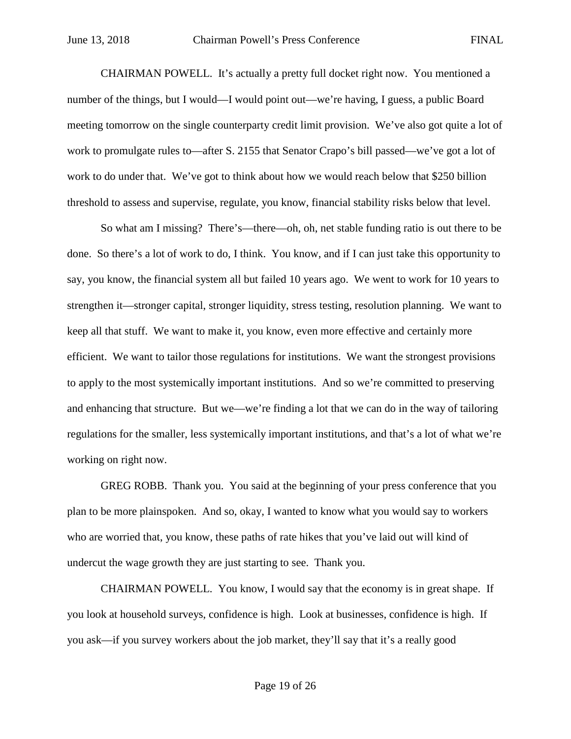CHAIRMAN POWELL. It's actually a pretty full docket right now. You mentioned a number of the things, but I would—I would point out—we're having, I guess, a public Board meeting tomorrow on the single counterparty credit limit provision. We've also got quite a lot of work to promulgate rules to—after S. 2155 that Senator Crapo's bill passed—we've got a lot of work to do under that. We've got to think about how we would reach below that \$250 billion threshold to assess and supervise, regulate, you know, financial stability risks below that level.

So what am I missing? There's—there—oh, oh, net stable funding ratio is out there to be done. So there's a lot of work to do, I think. You know, and if I can just take this opportunity to say, you know, the financial system all but failed 10 years ago. We went to work for 10 years to strengthen it—stronger capital, stronger liquidity, stress testing, resolution planning. We want to keep all that stuff. We want to make it, you know, even more effective and certainly more efficient. We want to tailor those regulations for institutions. We want the strongest provisions to apply to the most systemically important institutions. And so we're committed to preserving and enhancing that structure. But we—we're finding a lot that we can do in the way of tailoring regulations for the smaller, less systemically important institutions, and that's a lot of what we're working on right now.

GREG ROBB. Thank you. You said at the beginning of your press conference that you plan to be more plainspoken. And so, okay, I wanted to know what you would say to workers who are worried that, you know, these paths of rate hikes that you've laid out will kind of undercut the wage growth they are just starting to see. Thank you.

CHAIRMAN POWELL. You know, I would say that the economy is in great shape. If you look at household surveys, confidence is high. Look at businesses, confidence is high. If you ask—if you survey workers about the job market, they'll say that it's a really good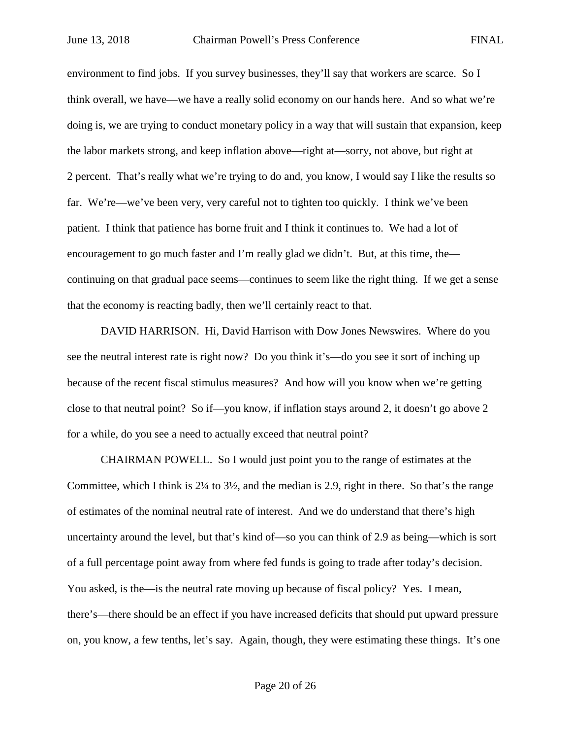environment to find jobs. If you survey businesses, they'll say that workers are scarce. So I think overall, we have—we have a really solid economy on our hands here. And so what we're doing is, we are trying to conduct monetary policy in a way that will sustain that expansion, keep the labor markets strong, and keep inflation above—right at—sorry, not above, but right at 2 percent. That's really what we're trying to do and, you know, I would say I like the results so far. We're—we've been very, very careful not to tighten too quickly. I think we've been patient. I think that patience has borne fruit and I think it continues to. We had a lot of encouragement to go much faster and I'm really glad we didn't. But, at this time, the continuing on that gradual pace seems—continues to seem like the right thing. If we get a sense that the economy is reacting badly, then we'll certainly react to that.

DAVID HARRISON. Hi, David Harrison with Dow Jones Newswires. Where do you see the neutral interest rate is right now? Do you think it's—do you see it sort of inching up because of the recent fiscal stimulus measures? And how will you know when we're getting close to that neutral point? So if—you know, if inflation stays around 2, it doesn't go above 2 for a while, do you see a need to actually exceed that neutral point?

CHAIRMAN POWELL. So I would just point you to the range of estimates at the Committee, which I think is  $2\frac{1}{4}$  to  $3\frac{1}{2}$ , and the median is 2.9, right in there. So that's the range of estimates of the nominal neutral rate of interest. And we do understand that there's high uncertainty around the level, but that's kind of—so you can think of 2.9 as being—which is sort of a full percentage point away from where fed funds is going to trade after today's decision. You asked, is the—is the neutral rate moving up because of fiscal policy? Yes. I mean, there's—there should be an effect if you have increased deficits that should put upward pressure on, you know, a few tenths, let's say. Again, though, they were estimating these things. It's one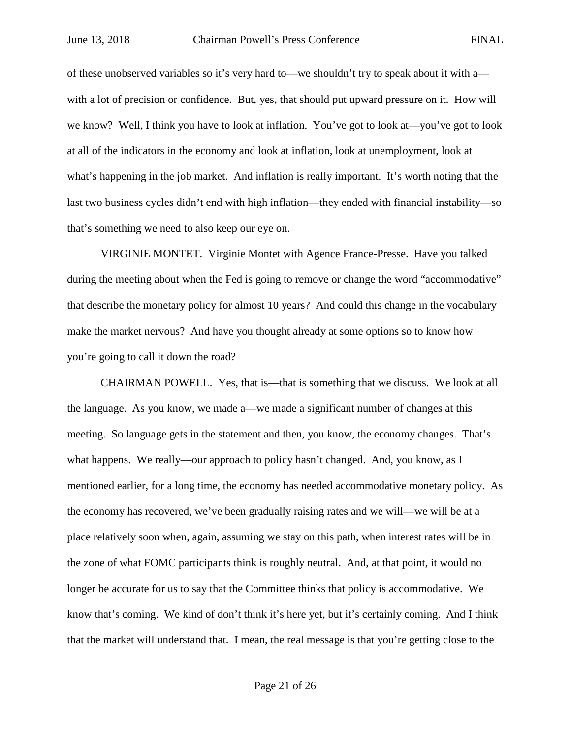of these unobserved variables so it's very hard to—we shouldn't try to speak about it with a with a lot of precision or confidence. But, yes, that should put upward pressure on it. How will we know? Well, I think you have to look at inflation. You've got to look at—you've got to look at all of the indicators in the economy and look at inflation, look at unemployment, look at what's happening in the job market. And inflation is really important. It's worth noting that the last two business cycles didn't end with high inflation—they ended with financial instability—so that's something we need to also keep our eye on.

VIRGINIE MONTET. Virginie Montet with Agence France-Presse. Have you talked during the meeting about when the Fed is going to remove or change the word "accommodative" that describe the monetary policy for almost 10 years? And could this change in the vocabulary make the market nervous? And have you thought already at some options so to know how you're going to call it down the road?

CHAIRMAN POWELL. Yes, that is—that is something that we discuss. We look at all the language. As you know, we made a—we made a significant number of changes at this meeting. So language gets in the statement and then, you know, the economy changes. That's what happens. We really—our approach to policy hasn't changed. And, you know, as I mentioned earlier, for a long time, the economy has needed accommodative monetary policy. As the economy has recovered, we've been gradually raising rates and we will—we will be at a place relatively soon when, again, assuming we stay on this path, when interest rates will be in the zone of what FOMC participants think is roughly neutral. And, at that point, it would no longer be accurate for us to say that the Committee thinks that policy is accommodative. We know that's coming. We kind of don't think it's here yet, but it's certainly coming. And I think that the market will understand that. I mean, the real message is that you're getting close to the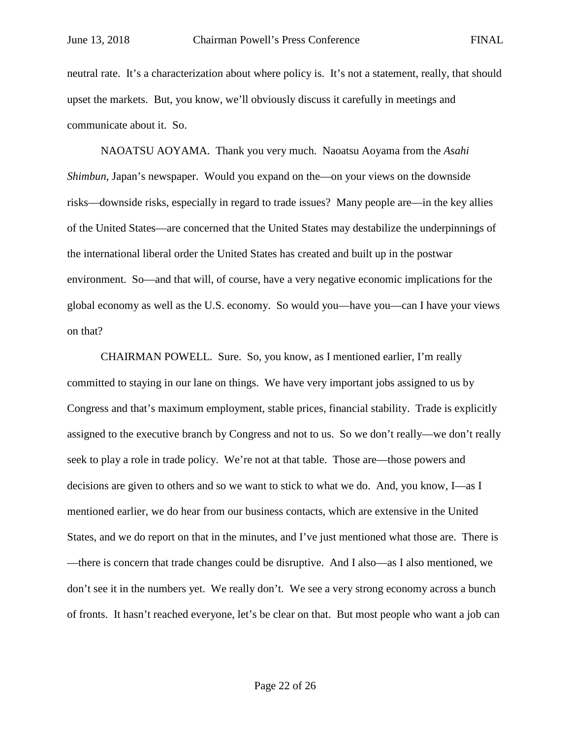neutral rate. It's a characterization about where policy is. It's not a statement, really, that should upset the markets. But, you know, we'll obviously discuss it carefully in meetings and communicate about it. So.

NAOATSU AOYAMA. Thank you very much. Naoatsu Aoyama from the *Asahi Shimbun*, Japan's newspaper. Would you expand on the—on your views on the downside risks—downside risks, especially in regard to trade issues? Many people are—in the key allies of the United States—are concerned that the United States may destabilize the underpinnings of the international liberal order the United States has created and built up in the postwar environment. So—and that will, of course, have a very negative economic implications for the global economy as well as the U.S. economy. So would you—have you—can I have your views on that?

CHAIRMAN POWELL. Sure. So, you know, as I mentioned earlier, I'm really committed to staying in our lane on things. We have very important jobs assigned to us by Congress and that's maximum employment, stable prices, financial stability. Trade is explicitly assigned to the executive branch by Congress and not to us. So we don't really—we don't really seek to play a role in trade policy. We're not at that table. Those are—those powers and decisions are given to others and so we want to stick to what we do. And, you know, I—as I mentioned earlier, we do hear from our business contacts, which are extensive in the United States, and we do report on that in the minutes, and I've just mentioned what those are. There is —there is concern that trade changes could be disruptive. And I also—as I also mentioned, we don't see it in the numbers yet. We really don't. We see a very strong economy across a bunch of fronts. It hasn't reached everyone, let's be clear on that. But most people who want a job can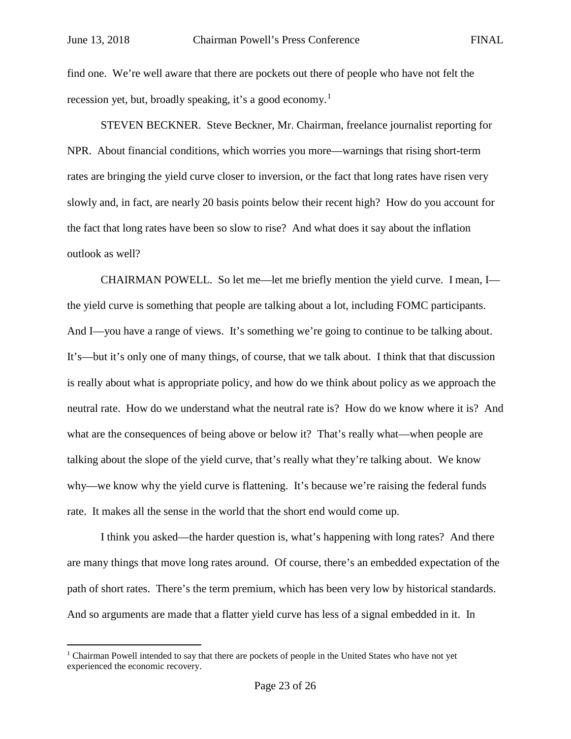find one. We're well aware that there are pockets out there of people who have not felt the recession yet, but, broadly speaking, it's a good economy.<sup>[1](#page-22-0)</sup>

STEVEN BECKNER. Steve Beckner, Mr. Chairman, freelance journalist reporting for NPR. About financial conditions, which worries you more—warnings that rising short-term rates are bringing the yield curve closer to inversion, or the fact that long rates have risen very slowly and, in fact, are nearly 20 basis points below their recent high? How do you account for the fact that long rates have been so slow to rise? And what does it say about the inflation outlook as well?

CHAIRMAN POWELL. So let me—let me briefly mention the yield curve. I mean, I the yield curve is something that people are talking about a lot, including FOMC participants. And I—you have a range of views. It's something we're going to continue to be talking about. It's—but it's only one of many things, of course, that we talk about. I think that that discussion is really about what is appropriate policy, and how do we think about policy as we approach the neutral rate. How do we understand what the neutral rate is? How do we know where it is? And what are the consequences of being above or below it? That's really what—when people are talking about the slope of the yield curve, that's really what they're talking about. We know why—we know why the yield curve is flattening. It's because we're raising the federal funds rate. It makes all the sense in the world that the short end would come up.

I think you asked—the harder question is, what's happening with long rates? And there are many things that move long rates around. Of course, there's an embedded expectation of the path of short rates. There's the term premium, which has been very low by historical standards. And so arguments are made that a flatter yield curve has less of a signal embedded in it. In

<span id="page-22-0"></span><sup>&</sup>lt;sup>1</sup> Chairman Powell intended to say that there are pockets of people in the United States who have not yet experienced the economic recovery.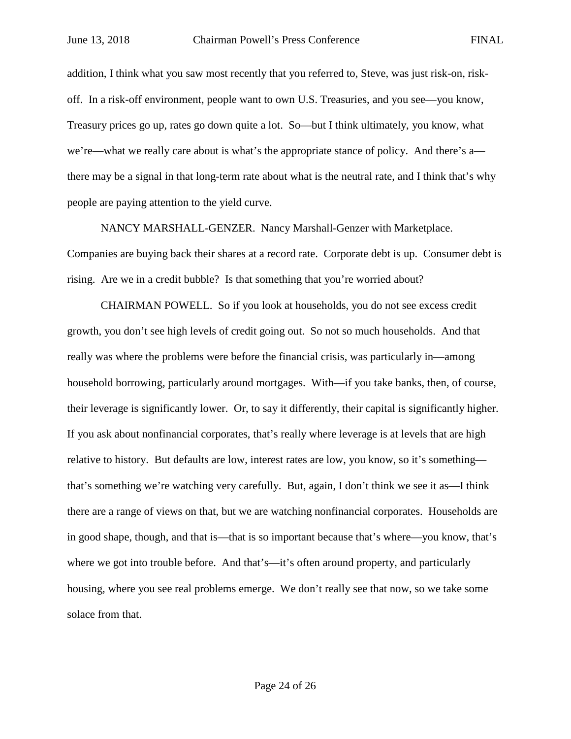addition, I think what you saw most recently that you referred to, Steve, was just risk-on, riskoff. In a risk-off environment, people want to own U.S. Treasuries, and you see—you know, Treasury prices go up, rates go down quite a lot. So—but I think ultimately, you know, what we're—what we really care about is what's the appropriate stance of policy. And there's a there may be a signal in that long-term rate about what is the neutral rate, and I think that's why people are paying attention to the yield curve.

NANCY MARSHALL-GENZER. Nancy Marshall-Genzer with Marketplace. Companies are buying back their shares at a record rate. Corporate debt is up. Consumer debt is rising. Are we in a credit bubble? Is that something that you're worried about?

CHAIRMAN POWELL. So if you look at households, you do not see excess credit growth, you don't see high levels of credit going out. So not so much households. And that really was where the problems were before the financial crisis, was particularly in—among household borrowing, particularly around mortgages. With—if you take banks, then, of course, their leverage is significantly lower. Or, to say it differently, their capital is significantly higher. If you ask about nonfinancial corporates, that's really where leverage is at levels that are high relative to history. But defaults are low, interest rates are low, you know, so it's something that's something we're watching very carefully. But, again, I don't think we see it as—I think there are a range of views on that, but we are watching nonfinancial corporates. Households are in good shape, though, and that is—that is so important because that's where—you know, that's where we got into trouble before. And that's—it's often around property, and particularly housing, where you see real problems emerge. We don't really see that now, so we take some solace from that.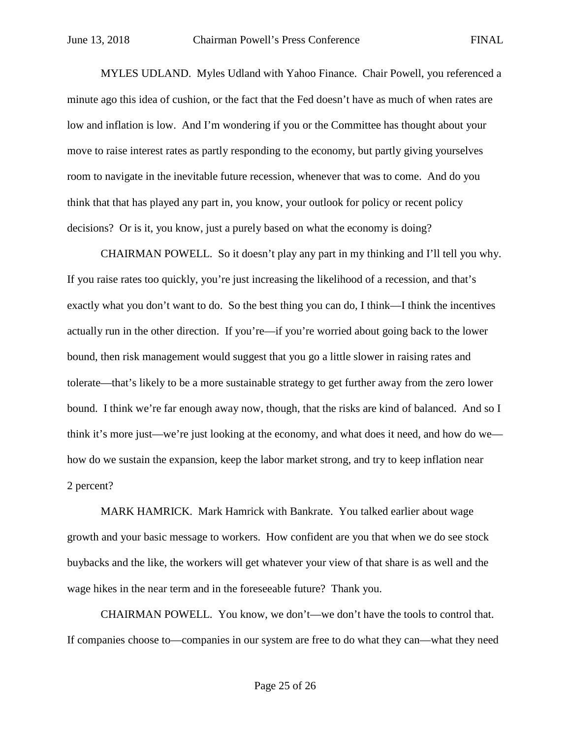MYLES UDLAND. Myles Udland with Yahoo Finance. Chair Powell, you referenced a minute ago this idea of cushion, or the fact that the Fed doesn't have as much of when rates are low and inflation is low. And I'm wondering if you or the Committee has thought about your move to raise interest rates as partly responding to the economy, but partly giving yourselves room to navigate in the inevitable future recession, whenever that was to come. And do you think that that has played any part in, you know, your outlook for policy or recent policy decisions? Or is it, you know, just a purely based on what the economy is doing?

CHAIRMAN POWELL. So it doesn't play any part in my thinking and I'll tell you why. If you raise rates too quickly, you're just increasing the likelihood of a recession, and that's exactly what you don't want to do. So the best thing you can do, I think—I think the incentives actually run in the other direction. If you're—if you're worried about going back to the lower bound, then risk management would suggest that you go a little slower in raising rates and tolerate—that's likely to be a more sustainable strategy to get further away from the zero lower bound. I think we're far enough away now, though, that the risks are kind of balanced. And so I think it's more just—we're just looking at the economy, and what does it need, and how do we how do we sustain the expansion, keep the labor market strong, and try to keep inflation near 2 percent?

MARK HAMRICK. Mark Hamrick with Bankrate. You talked earlier about wage growth and your basic message to workers. How confident are you that when we do see stock buybacks and the like, the workers will get whatever your view of that share is as well and the wage hikes in the near term and in the foreseeable future? Thank you.

CHAIRMAN POWELL. You know, we don't—we don't have the tools to control that. If companies choose to—companies in our system are free to do what they can—what they need